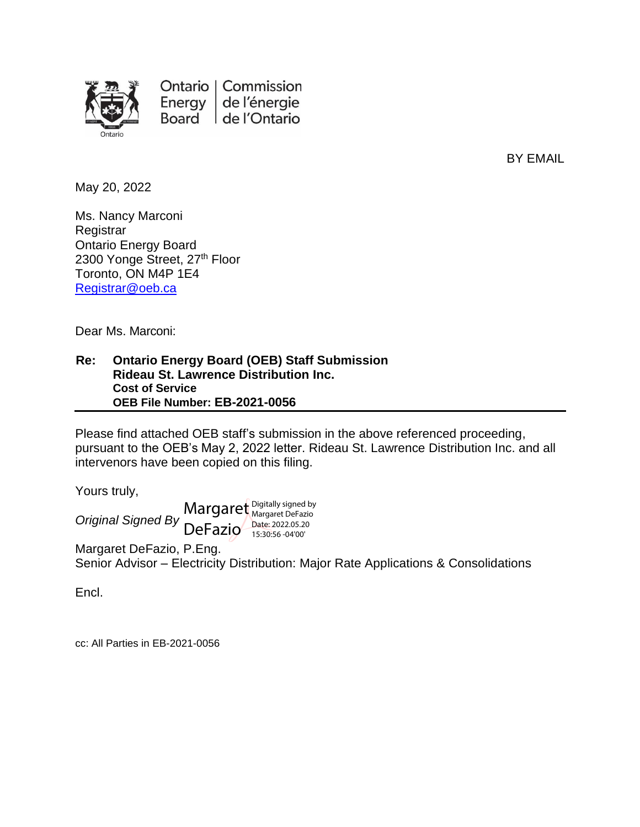

Ontario | Commission Energy  $|$ de l'énergie Board de l'Ontario

BY EMAIL

May 20, 2022

Ms. Nancy Marconi **Registrar** Ontario Energy Board 2300 Yonge Street, 27<sup>th</sup> Floor Toronto, ON M4P 1E4 [Registrar@oeb.ca](mailto:Registrar@oeb.ca)

Dear Ms. Marconi:

#### **Re: Ontario Energy Board (OEB) Staff Submission Rideau St. Lawrence Distribution Inc. Cost of Service OEB File Number: EB-2021-0056**

Please find attached OEB staff's submission in the above referenced proceeding, pursuant to the OEB's May 2, 2022 letter. Rideau St. Lawrence Distribution Inc. and all intervenors have been copied on this filing.

Yours truly,

*Original Signed By* DeFazio Margaret Digitally signed by Digitally signed by Date: 2022.05.20 15:30:56 -04'00'

Margaret DeFazio, P.Eng. Senior Advisor – Electricity Distribution: Major Rate Applications & Consolidations

Encl.

cc: All Parties in EB-2021-0056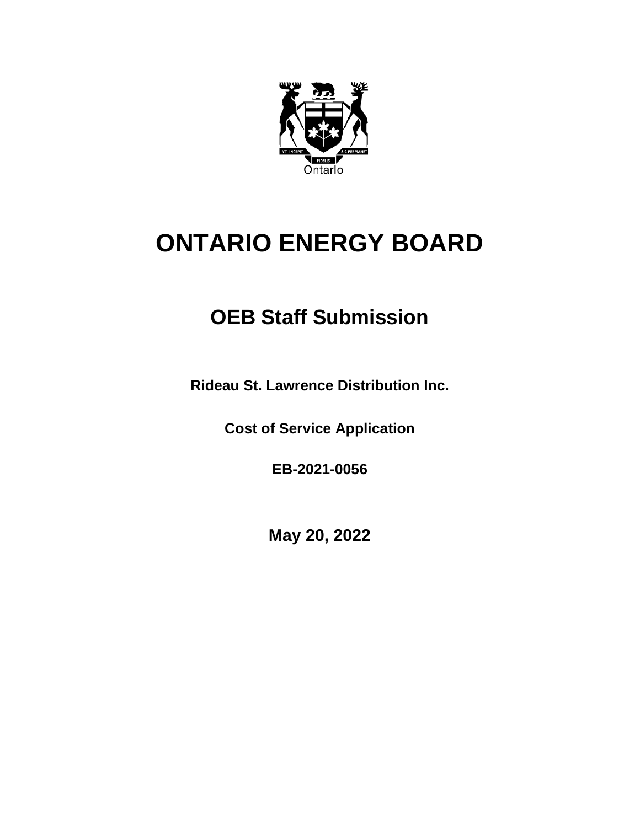

# **ONTARIO ENERGY BOARD**

## **OEB Staff Submission**

**Rideau St. Lawrence Distribution Inc.**

**Cost of Service Application**

**EB-2021-0056**

**May 20, 2022**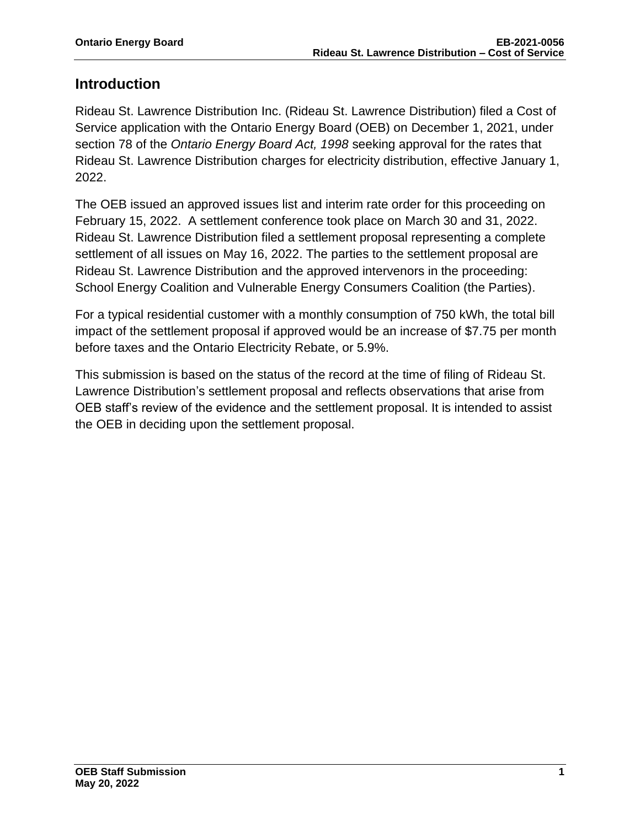## **Introduction**

Rideau St. Lawrence Distribution Inc. (Rideau St. Lawrence Distribution) filed a Cost of Service application with the Ontario Energy Board (OEB) on December 1, 2021, under section 78 of the *Ontario Energy Board Act, 1998* seeking approval for the rates that Rideau St. Lawrence Distribution charges for electricity distribution, effective January 1, 2022.

The OEB issued an approved issues list and interim rate order for this proceeding on February 15, 2022. A settlement conference took place on March 30 and 31, 2022. Rideau St. Lawrence Distribution filed a settlement proposal representing a complete settlement of all issues on May 16, 2022. The parties to the settlement proposal are Rideau St. Lawrence Distribution and the approved intervenors in the proceeding: School Energy Coalition and Vulnerable Energy Consumers Coalition (the Parties).

For a typical residential customer with a monthly consumption of 750 kWh, the total bill impact of the settlement proposal if approved would be an increase of \$7.75 per month before taxes and the Ontario Electricity Rebate, or 5.9%.

This submission is based on the status of the record at the time of filing of Rideau St. Lawrence Distribution's settlement proposal and reflects observations that arise from OEB staff's review of the evidence and the settlement proposal. It is intended to assist the OEB in deciding upon the settlement proposal.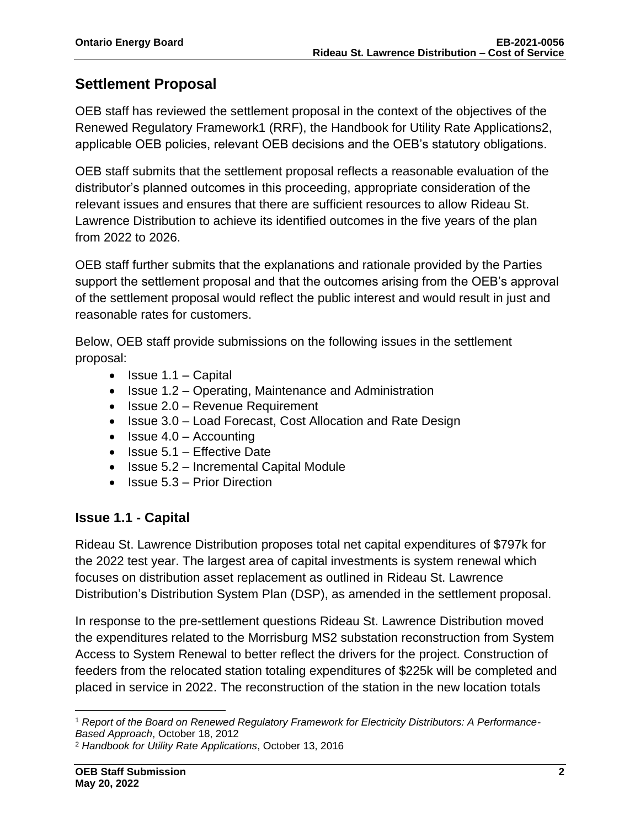## **Settlement Proposal**

OEB staff has reviewed the settlement proposal in the context of the objectives of the Renewed Regulatory Framework1 (RRF), the Handbook for Utility Rate Applications2, applicable OEB policies, relevant OEB decisions and the OEB's statutory obligations.

OEB staff submits that the settlement proposal reflects a reasonable evaluation of the distributor's planned outcomes in this proceeding, appropriate consideration of the relevant issues and ensures that there are sufficient resources to allow Rideau St. Lawrence Distribution to achieve its identified outcomes in the five years of the plan from 2022 to 2026.

OEB staff further submits that the explanations and rationale provided by the Parties support the settlement proposal and that the outcomes arising from the OEB's approval of the settlement proposal would reflect the public interest and would result in just and reasonable rates for customers.

Below, OEB staff provide submissions on the following issues in the settlement proposal:

- Issue  $1.1 -$  Capital
- Issue 1.2 Operating, Maintenance and Administration
- Issue 2.0 Revenue Requirement
- Issue 3.0 Load Forecast, Cost Allocation and Rate Design
- $\bullet$  Issue 4.0 Accounting
- Issue 5.1 Effective Date
- Issue 5.2 Incremental Capital Module
- Issue 5.3 Prior Direction

## **Issue 1.1 - Capital**

Rideau St. Lawrence Distribution proposes total net capital expenditures of \$797k for the 2022 test year. The largest area of capital investments is system renewal which focuses on distribution asset replacement as outlined in Rideau St. Lawrence Distribution's Distribution System Plan (DSP), as amended in the settlement proposal.

In response to the pre-settlement questions Rideau St. Lawrence Distribution moved the expenditures related to the Morrisburg MS2 substation reconstruction from System Access to System Renewal to better reflect the drivers for the project. Construction of feeders from the relocated station totaling expenditures of \$225k will be completed and placed in service in 2022. The reconstruction of the station in the new location totals

<sup>1</sup> *Report of the Board on Renewed Regulatory Framework for Electricity Distributors: A Performance-Based Approach*, October 18, 2012

<sup>2</sup> *Handbook for Utility Rate Applications*, October 13, 2016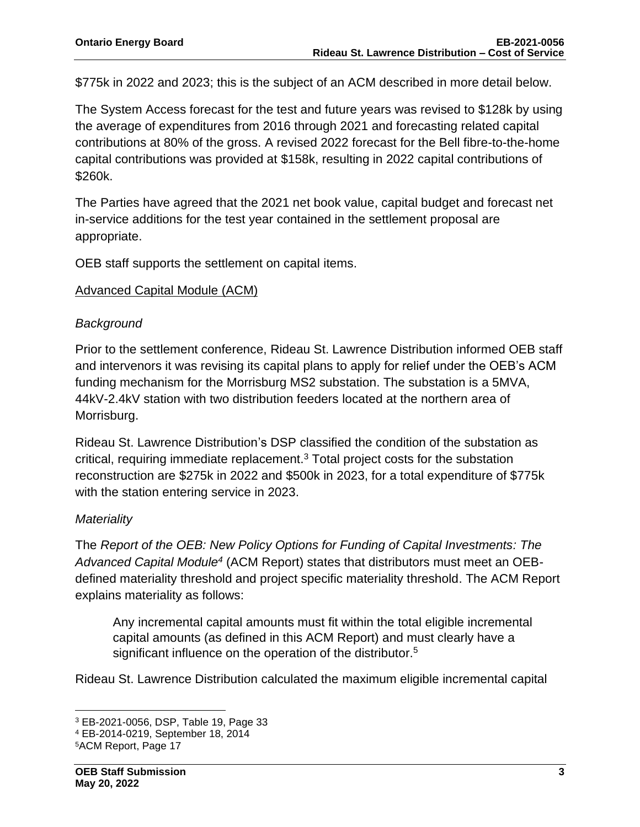\$775k in 2022 and 2023; this is the subject of an ACM described in more detail below.

The System Access forecast for the test and future years was revised to \$128k by using the average of expenditures from 2016 through 2021 and forecasting related capital contributions at 80% of the gross. A revised 2022 forecast for the Bell fibre-to-the-home capital contributions was provided at \$158k, resulting in 2022 capital contributions of \$260k.

The Parties have agreed that the 2021 net book value, capital budget and forecast net in-service additions for the test year contained in the settlement proposal are appropriate.

OEB staff supports the settlement on capital items.

#### Advanced Capital Module (ACM)

#### *Background*

Prior to the settlement conference, Rideau St. Lawrence Distribution informed OEB staff and intervenors it was revising its capital plans to apply for relief under the OEB's ACM funding mechanism for the Morrisburg MS2 substation. The substation is a 5MVA, 44kV-2.4kV station with two distribution feeders located at the northern area of Morrisburg.

Rideau St. Lawrence Distribution's DSP classified the condition of the substation as critical, requiring immediate replacement.<sup>3</sup> Total project costs for the substation reconstruction are \$275k in 2022 and \$500k in 2023, for a total expenditure of \$775k with the station entering service in 2023.

## *Materiality*

The *Report of the OEB: New Policy Options for Funding of Capital Investments: The Advanced Capital Module<sup>4</sup>* (ACM Report) states that distributors must meet an OEBdefined materiality threshold and project specific materiality threshold. The ACM Report explains materiality as follows:

Any incremental capital amounts must fit within the total eligible incremental capital amounts (as defined in this ACM Report) and must clearly have a significant influence on the operation of the distributor.<sup>5</sup>

Rideau St. Lawrence Distribution calculated the maximum eligible incremental capital

<sup>3</sup> EB-2021-0056, DSP, Table 19, Page 33

<sup>4</sup> EB-2014-0219, September 18, 2014

<sup>5</sup>ACM Report, Page 17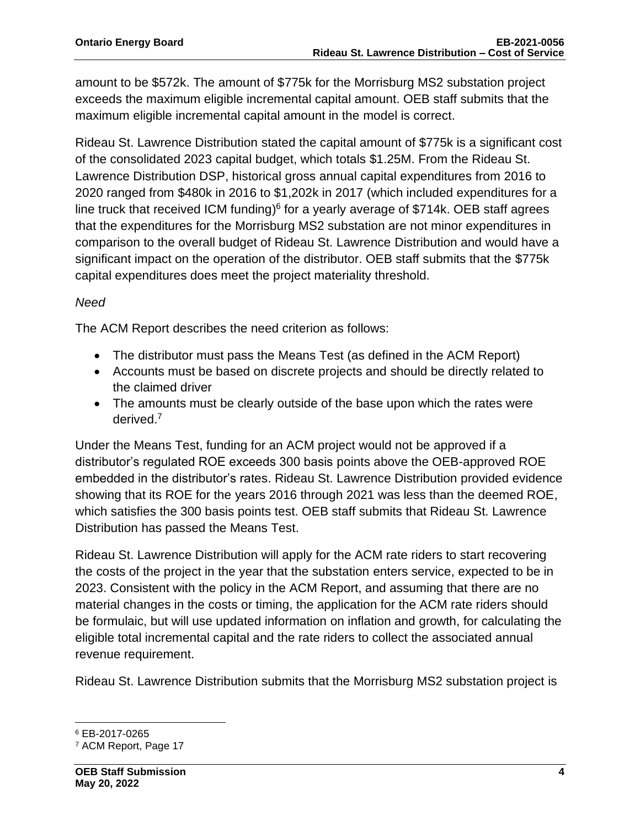amount to be \$572k. The amount of \$775k for the Morrisburg MS2 substation project exceeds the maximum eligible incremental capital amount. OEB staff submits that the maximum eligible incremental capital amount in the model is correct.

Rideau St. Lawrence Distribution stated the capital amount of \$775k is a significant cost of the consolidated 2023 capital budget, which totals \$1.25M. From the Rideau St. Lawrence Distribution DSP, historical gross annual capital expenditures from 2016 to 2020 ranged from \$480k in 2016 to \$1,202k in 2017 (which included expenditures for a line truck that received ICM funding)<sup>6</sup> for a yearly average of \$714k. OEB staff agrees that the expenditures for the Morrisburg MS2 substation are not minor expenditures in comparison to the overall budget of Rideau St. Lawrence Distribution and would have a significant impact on the operation of the distributor. OEB staff submits that the \$775k capital expenditures does meet the project materiality threshold.

## *Need*

The ACM Report describes the need criterion as follows:

- The distributor must pass the Means Test (as defined in the ACM Report)
- Accounts must be based on discrete projects and should be directly related to the claimed driver
- The amounts must be clearly outside of the base upon which the rates were derived.<sup>7</sup>

Under the Means Test, funding for an ACM project would not be approved if a distributor's regulated ROE exceeds 300 basis points above the OEB-approved ROE embedded in the distributor's rates. Rideau St. Lawrence Distribution provided evidence showing that its ROE for the years 2016 through 2021 was less than the deemed ROE, which satisfies the 300 basis points test. OEB staff submits that Rideau St. Lawrence Distribution has passed the Means Test.

Rideau St. Lawrence Distribution will apply for the ACM rate riders to start recovering the costs of the project in the year that the substation enters service, expected to be in 2023. Consistent with the policy in the ACM Report, and assuming that there are no material changes in the costs or timing, the application for the ACM rate riders should be formulaic, but will use updated information on inflation and growth, for calculating the eligible total incremental capital and the rate riders to collect the associated annual revenue requirement.

Rideau St. Lawrence Distribution submits that the Morrisburg MS2 substation project is

<sup>6</sup> EB-2017-0265

<sup>7</sup> ACM Report, Page 17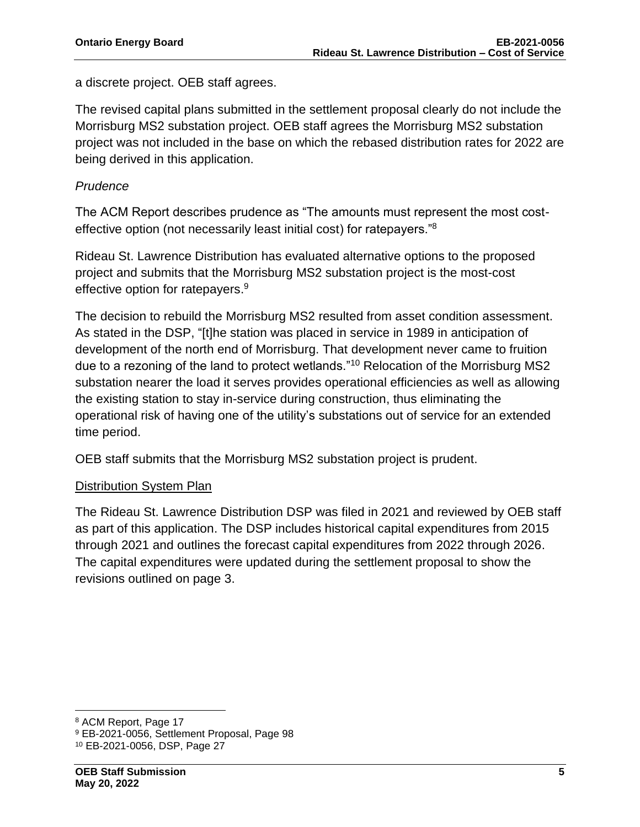a discrete project. OEB staff agrees.

The revised capital plans submitted in the settlement proposal clearly do not include the Morrisburg MS2 substation project. OEB staff agrees the Morrisburg MS2 substation project was not included in the base on which the rebased distribution rates for 2022 are being derived in this application.

#### *Prudence*

The ACM Report describes prudence as "The amounts must represent the most costeffective option (not necessarily least initial cost) for ratepayers."<sup>8</sup>

Rideau St. Lawrence Distribution has evaluated alternative options to the proposed project and submits that the Morrisburg MS2 substation project is the most-cost effective option for ratepayers.<sup>9</sup>

The decision to rebuild the Morrisburg MS2 resulted from asset condition assessment. As stated in the DSP, "[t]he station was placed in service in 1989 in anticipation of development of the north end of Morrisburg. That development never came to fruition due to a rezoning of the land to protect wetlands."<sup>10</sup> Relocation of the Morrisburg MS2 substation nearer the load it serves provides operational efficiencies as well as allowing the existing station to stay in-service during construction, thus eliminating the operational risk of having one of the utility's substations out of service for an extended time period.

OEB staff submits that the Morrisburg MS2 substation project is prudent.

## Distribution System Plan

The Rideau St. Lawrence Distribution DSP was filed in 2021 and reviewed by OEB staff as part of this application. The DSP includes historical capital expenditures from 2015 through 2021 and outlines the forecast capital expenditures from 2022 through 2026. The capital expenditures were updated during the settlement proposal to show the revisions outlined on page 3.

<sup>8</sup> ACM Report, Page 17

<sup>9</sup> EB-2021-0056, Settlement Proposal, Page 98

<sup>10</sup> EB-2021-0056, DSP, Page 27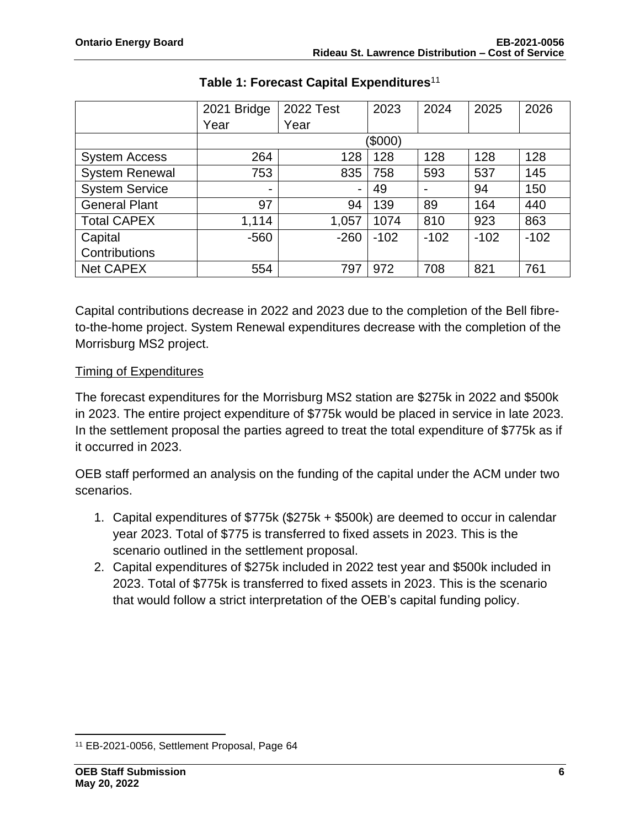|                       | 2021 Bridge | 2022 Test | 2023   | 2024   | 2025   | 2026   |  |  |
|-----------------------|-------------|-----------|--------|--------|--------|--------|--|--|
|                       | Year        | Year      |        |        |        |        |  |  |
|                       | (\$000)     |           |        |        |        |        |  |  |
| <b>System Access</b>  | 264         | 128       | 128    | 128    | 128    | 128    |  |  |
| <b>System Renewal</b> | 753         | 835       | 758    | 593    | 537    | 145    |  |  |
| <b>System Service</b> | -           | Ξ.        | 49     |        | 94     | 150    |  |  |
| <b>General Plant</b>  | 97          | 94        | 139    | 89     | 164    | 440    |  |  |
| <b>Total CAPEX</b>    | 1,114       | 1,057     | 1074   | 810    | 923    | 863    |  |  |
| Capital               | $-560$      | $-260$    | $-102$ | $-102$ | $-102$ | $-102$ |  |  |
| Contributions         |             |           |        |        |        |        |  |  |
| <b>Net CAPEX</b>      | 554         | 797       | 972    | 708    | 821    | 761    |  |  |

## **Table 1: Forecast Capital Expenditures**<sup>11</sup>

Capital contributions decrease in 2022 and 2023 due to the completion of the Bell fibreto-the-home project. System Renewal expenditures decrease with the completion of the Morrisburg MS2 project.

#### Timing of Expenditures

The forecast expenditures for the Morrisburg MS2 station are \$275k in 2022 and \$500k in 2023. The entire project expenditure of \$775k would be placed in service in late 2023. In the settlement proposal the parties agreed to treat the total expenditure of \$775k as if it occurred in 2023.

OEB staff performed an analysis on the funding of the capital under the ACM under two scenarios.

- 1. Capital expenditures of \$775k (\$275k + \$500k) are deemed to occur in calendar year 2023. Total of \$775 is transferred to fixed assets in 2023. This is the scenario outlined in the settlement proposal.
- 2. Capital expenditures of \$275k included in 2022 test year and \$500k included in 2023. Total of \$775k is transferred to fixed assets in 2023. This is the scenario that would follow a strict interpretation of the OEB's capital funding policy.

<sup>11</sup> EB-2021-0056, Settlement Proposal, Page 64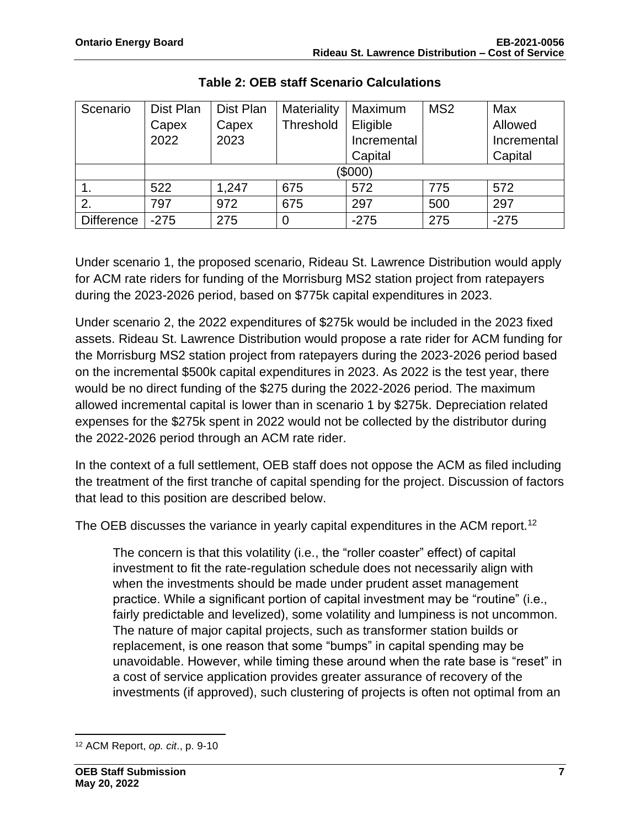| Scenario          | Dist Plan | Dist Plan | Materiality | Maximum     | MS <sub>2</sub> | Max         |  |  |
|-------------------|-----------|-----------|-------------|-------------|-----------------|-------------|--|--|
|                   | Capex     | Capex     | Threshold   | Eligible    |                 | Allowed     |  |  |
|                   | 2022      | 2023      |             | Incremental |                 | Incremental |  |  |
|                   |           |           |             | Capital     |                 | Capital     |  |  |
|                   | (\$000)   |           |             |             |                 |             |  |  |
|                   | 522       | 1,247     | 675         | 572         | 775             | 572         |  |  |
| 2.                | 797       | 972       | 675         | 297         | 500             | 297         |  |  |
| <b>Difference</b> | $-275$    | 275       | 0           | $-275$      | 275             | $-275$      |  |  |

**Table 2: OEB staff Scenario Calculations**

Under scenario 1, the proposed scenario, Rideau St. Lawrence Distribution would apply for ACM rate riders for funding of the Morrisburg MS2 station project from ratepayers during the 2023-2026 period, based on \$775k capital expenditures in 2023.

Under scenario 2, the 2022 expenditures of \$275k would be included in the 2023 fixed assets. Rideau St. Lawrence Distribution would propose a rate rider for ACM funding for the Morrisburg MS2 station project from ratepayers during the 2023-2026 period based on the incremental \$500k capital expenditures in 2023. As 2022 is the test year, there would be no direct funding of the \$275 during the 2022-2026 period. The maximum allowed incremental capital is lower than in scenario 1 by \$275k. Depreciation related expenses for the \$275k spent in 2022 would not be collected by the distributor during the 2022-2026 period through an ACM rate rider.

In the context of a full settlement, OEB staff does not oppose the ACM as filed including the treatment of the first tranche of capital spending for the project. Discussion of factors that lead to this position are described below.

The OEB discusses the variance in yearly capital expenditures in the ACM report.<sup>12</sup>

The concern is that this volatility (i.e., the "roller coaster" effect) of capital investment to fit the rate-regulation schedule does not necessarily align with when the investments should be made under prudent asset management practice. While a significant portion of capital investment may be "routine" (i.e., fairly predictable and levelized), some volatility and lumpiness is not uncommon. The nature of major capital projects, such as transformer station builds or replacement, is one reason that some "bumps" in capital spending may be unavoidable. However, while timing these around when the rate base is "reset" in a cost of service application provides greater assurance of recovery of the investments (if approved), such clustering of projects is often not optimal from an

<sup>12</sup> ACM Report, *op. cit*., p. 9-10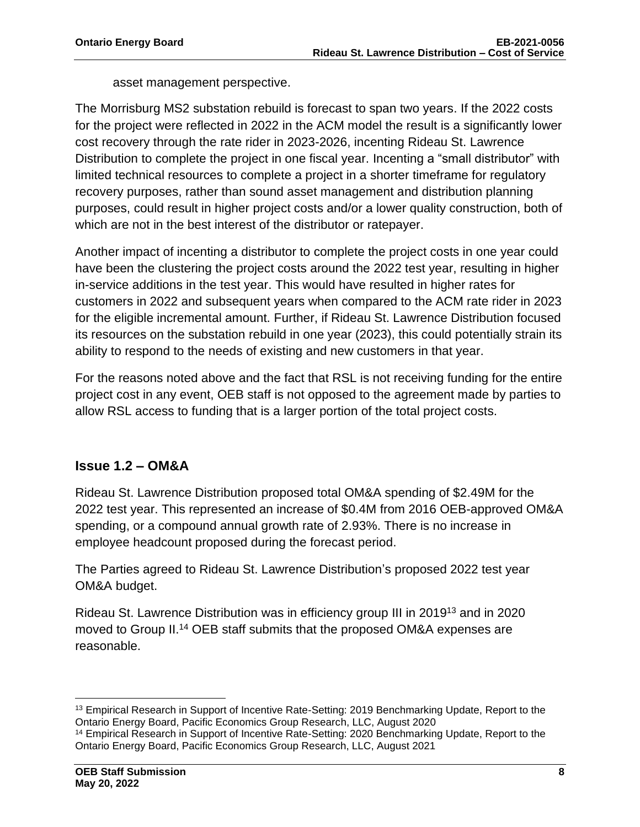asset management perspective.

The Morrisburg MS2 substation rebuild is forecast to span two years. If the 2022 costs for the project were reflected in 2022 in the ACM model the result is a significantly lower cost recovery through the rate rider in 2023-2026, incenting Rideau St. Lawrence Distribution to complete the project in one fiscal year. Incenting a "small distributor" with limited technical resources to complete a project in a shorter timeframe for regulatory recovery purposes, rather than sound asset management and distribution planning purposes, could result in higher project costs and/or a lower quality construction, both of which are not in the best interest of the distributor or ratepayer.

Another impact of incenting a distributor to complete the project costs in one year could have been the clustering the project costs around the 2022 test year, resulting in higher in-service additions in the test year. This would have resulted in higher rates for customers in 2022 and subsequent years when compared to the ACM rate rider in 2023 for the eligible incremental amount. Further, if Rideau St. Lawrence Distribution focused its resources on the substation rebuild in one year (2023), this could potentially strain its ability to respond to the needs of existing and new customers in that year.

For the reasons noted above and the fact that RSL is not receiving funding for the entire project cost in any event, OEB staff is not opposed to the agreement made by parties to allow RSL access to funding that is a larger portion of the total project costs.

## **Issue 1.2 – OM&A**

Rideau St. Lawrence Distribution proposed total OM&A spending of \$2.49M for the 2022 test year. This represented an increase of \$0.4M from 2016 OEB-approved OM&A spending, or a compound annual growth rate of 2.93%. There is no increase in employee headcount proposed during the forecast period.

The Parties agreed to Rideau St. Lawrence Distribution's proposed 2022 test year OM&A budget.

Rideau St. Lawrence Distribution was in efficiency group III in 2019<sup>13</sup> and in 2020 moved to Group II.<sup>14</sup> OEB staff submits that the proposed OM&A expenses are reasonable.

<sup>&</sup>lt;sup>13</sup> Empirical Research in Support of Incentive Rate-Setting: 2019 Benchmarking Update, Report to the Ontario Energy Board, Pacific Economics Group Research, LLC, August 2020

<sup>&</sup>lt;sup>14</sup> Empirical Research in Support of Incentive Rate-Setting: 2020 Benchmarking Update, Report to the Ontario Energy Board, Pacific Economics Group Research, LLC, August 2021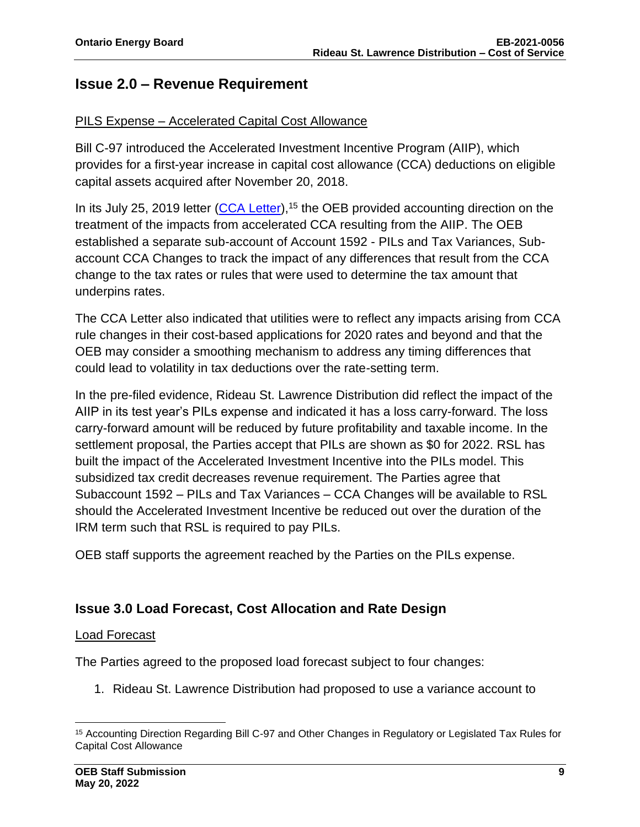## **Issue 2.0 – Revenue Requirement**

#### PILS Expense – Accelerated Capital Cost Allowance

Bill C-97 introduced the Accelerated Investment Incentive Program (AIIP), which provides for a first-year increase in capital cost allowance (CCA) deductions on eligible capital assets acquired after November 20, 2018.

In its July 25, 2019 letter [\(CCA Letter\)](https://www.oeb.ca/sites/default/files/OEBltr-Acctng-Guidance-Bill-C97-20190725.pdf),<sup>15</sup> the OEB provided accounting direction on the treatment of the impacts from accelerated CCA resulting from the AIIP. The OEB established a separate sub-account of Account 1592 - PILs and Tax Variances, Subaccount CCA Changes to track the impact of any differences that result from the CCA change to the tax rates or rules that were used to determine the tax amount that underpins rates.

The CCA Letter also indicated that utilities were to reflect any impacts arising from CCA rule changes in their cost-based applications for 2020 rates and beyond and that the OEB may consider a smoothing mechanism to address any timing differences that could lead to volatility in tax deductions over the rate-setting term.

In the pre-filed evidence, Rideau St. Lawrence Distribution did reflect the impact of the AIIP in its test year's PILs expense and indicated it has a loss carry-forward. The loss carry-forward amount will be reduced by future profitability and taxable income. In the settlement proposal, the Parties accept that PILs are shown as \$0 for 2022. RSL has built the impact of the Accelerated Investment Incentive into the PILs model. This subsidized tax credit decreases revenue requirement. The Parties agree that Subaccount 1592 – PILs and Tax Variances – CCA Changes will be available to RSL should the Accelerated Investment Incentive be reduced out over the duration of the IRM term such that RSL is required to pay PILs.

OEB staff supports the agreement reached by the Parties on the PILs expense.

## **Issue 3.0 Load Forecast, Cost Allocation and Rate Design**

#### Load Forecast

The Parties agreed to the proposed load forecast subject to four changes:

1. Rideau St. Lawrence Distribution had proposed to use a variance account to

<sup>15</sup> Accounting Direction Regarding Bill C-97 and Other Changes in Regulatory or Legislated Tax Rules for Capital Cost Allowance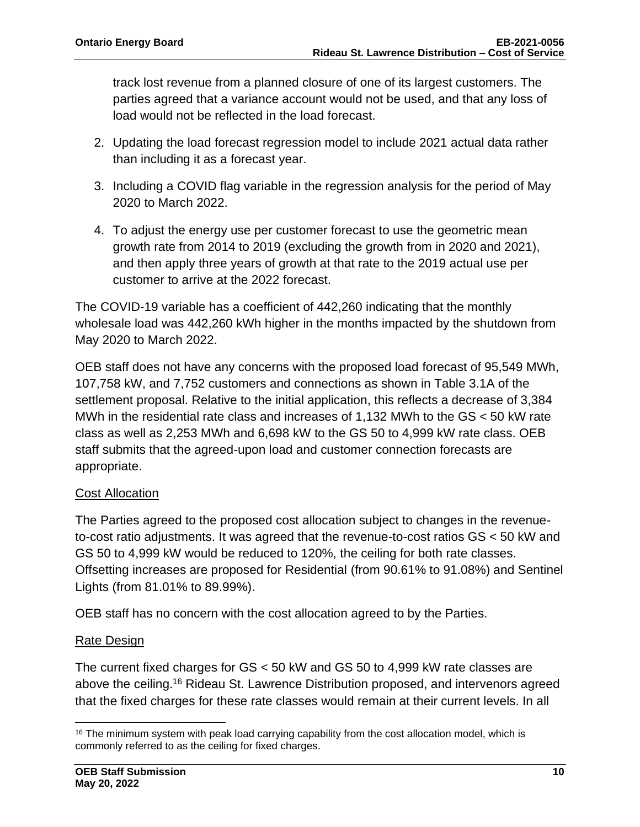track lost revenue from a planned closure of one of its largest customers. The parties agreed that a variance account would not be used, and that any loss of load would not be reflected in the load forecast.

- 2. Updating the load forecast regression model to include 2021 actual data rather than including it as a forecast year.
- 3. Including a COVID flag variable in the regression analysis for the period of May 2020 to March 2022.
- 4. To adjust the energy use per customer forecast to use the geometric mean growth rate from 2014 to 2019 (excluding the growth from in 2020 and 2021), and then apply three years of growth at that rate to the 2019 actual use per customer to arrive at the 2022 forecast.

The COVID-19 variable has a coefficient of 442,260 indicating that the monthly wholesale load was 442,260 kWh higher in the months impacted by the shutdown from May 2020 to March 2022.

OEB staff does not have any concerns with the proposed load forecast of 95,549 MWh, 107,758 kW, and 7,752 customers and connections as shown in Table 3.1A of the settlement proposal. Relative to the initial application, this reflects a decrease of 3,384 MWh in the residential rate class and increases of 1,132 MWh to the GS < 50 kW rate class as well as 2,253 MWh and 6,698 kW to the GS 50 to 4,999 kW rate class. OEB staff submits that the agreed-upon load and customer connection forecasts are appropriate.

## Cost Allocation

The Parties agreed to the proposed cost allocation subject to changes in the revenueto-cost ratio adjustments. It was agreed that the revenue-to-cost ratios GS < 50 kW and GS 50 to 4,999 kW would be reduced to 120%, the ceiling for both rate classes. Offsetting increases are proposed for Residential (from 90.61% to 91.08%) and Sentinel Lights (from 81.01% to 89.99%).

OEB staff has no concern with the cost allocation agreed to by the Parties.

## **Rate Design**

The current fixed charges for GS < 50 kW and GS 50 to 4,999 kW rate classes are above the ceiling.<sup>16</sup> Rideau St. Lawrence Distribution proposed, and intervenors agreed that the fixed charges for these rate classes would remain at their current levels. In all

 $16$  The minimum system with peak load carrying capability from the cost allocation model, which is commonly referred to as the ceiling for fixed charges.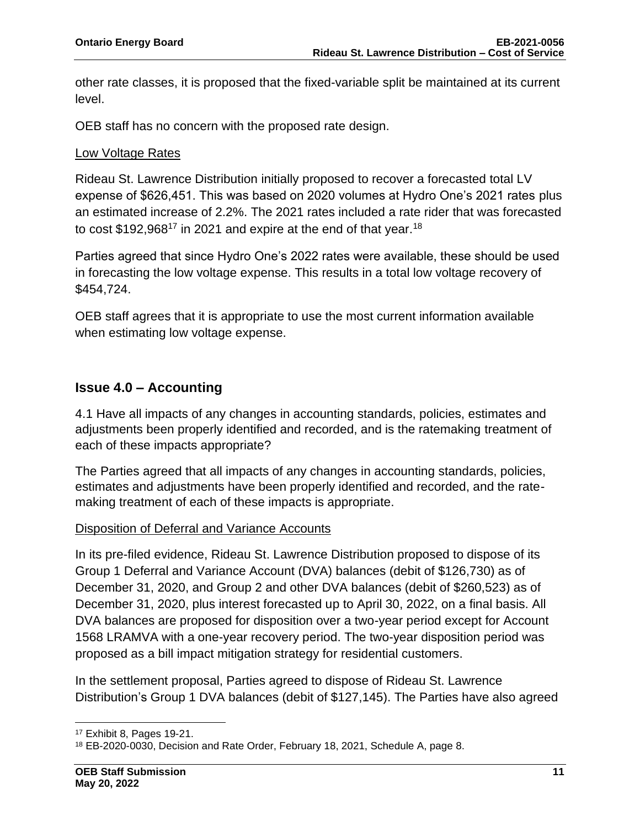other rate classes, it is proposed that the fixed-variable split be maintained at its current level.

OEB staff has no concern with the proposed rate design.

#### Low Voltage Rates

Rideau St. Lawrence Distribution initially proposed to recover a forecasted total LV expense of \$626,451. This was based on 2020 volumes at Hydro One's 2021 rates plus an estimated increase of 2.2%. The 2021 rates included a rate rider that was forecasted to cost \$192,968<sup>17</sup> in 2021 and expire at the end of that year.<sup>18</sup>

Parties agreed that since Hydro One's 2022 rates were available, these should be used in forecasting the low voltage expense. This results in a total low voltage recovery of \$454,724.

OEB staff agrees that it is appropriate to use the most current information available when estimating low voltage expense.

## **Issue 4.0 – Accounting**

4.1 Have all impacts of any changes in accounting standards, policies, estimates and adjustments been properly identified and recorded, and is the ratemaking treatment of each of these impacts appropriate?

The Parties agreed that all impacts of any changes in accounting standards, policies, estimates and adjustments have been properly identified and recorded, and the ratemaking treatment of each of these impacts is appropriate.

#### Disposition of Deferral and Variance Accounts

In its pre-filed evidence, Rideau St. Lawrence Distribution proposed to dispose of its Group 1 Deferral and Variance Account (DVA) balances (debit of \$126,730) as of December 31, 2020, and Group 2 and other DVA balances (debit of \$260,523) as of December 31, 2020, plus interest forecasted up to April 30, 2022, on a final basis. All DVA balances are proposed for disposition over a two-year period except for Account 1568 LRAMVA with a one-year recovery period. The two-year disposition period was proposed as a bill impact mitigation strategy for residential customers.

In the settlement proposal, Parties agreed to dispose of Rideau St. Lawrence Distribution's Group 1 DVA balances (debit of \$127,145). The Parties have also agreed

<sup>17</sup> Exhibit 8, Pages 19-21.

<sup>18</sup> EB-2020-0030, Decision and Rate Order, February 18, 2021, Schedule A, page 8.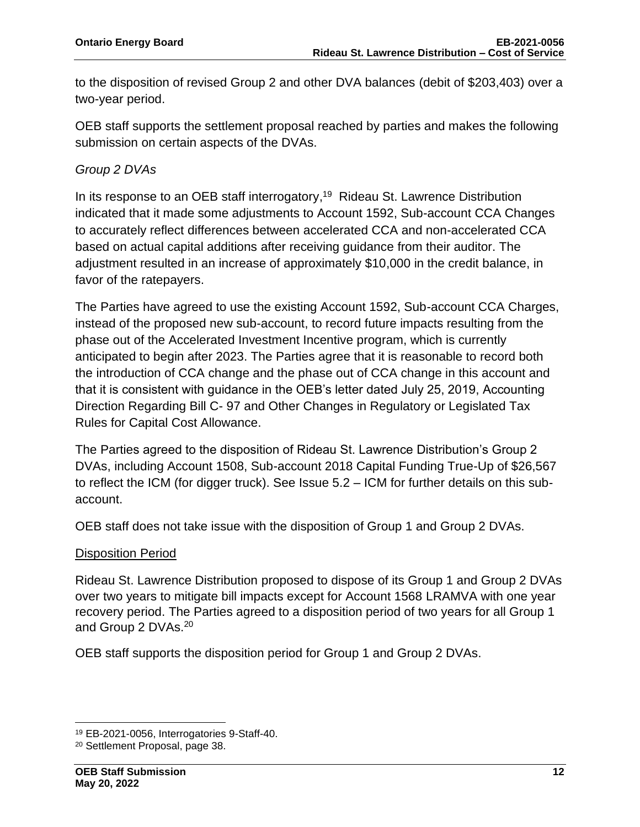to the disposition of revised Group 2 and other DVA balances (debit of \$203,403) over a two-year period.

OEB staff supports the settlement proposal reached by parties and makes the following submission on certain aspects of the DVAs.

## *Group 2 DVAs*

In its response to an OEB staff interrogatory,<sup>19</sup> Rideau St. Lawrence Distribution indicated that it made some adjustments to Account 1592, Sub-account CCA Changes to accurately reflect differences between accelerated CCA and non-accelerated CCA based on actual capital additions after receiving guidance from their auditor. The adjustment resulted in an increase of approximately \$10,000 in the credit balance, in favor of the ratepayers.

The Parties have agreed to use the existing Account 1592, Sub-account CCA Charges, instead of the proposed new sub-account, to record future impacts resulting from the phase out of the Accelerated Investment Incentive program, which is currently anticipated to begin after 2023. The Parties agree that it is reasonable to record both the introduction of CCA change and the phase out of CCA change in this account and that it is consistent with guidance in the OEB's letter dated July 25, 2019, Accounting Direction Regarding Bill C- 97 and Other Changes in Regulatory or Legislated Tax Rules for Capital Cost Allowance.

The Parties agreed to the disposition of Rideau St. Lawrence Distribution's Group 2 DVAs, including Account 1508, Sub-account 2018 Capital Funding True-Up of \$26,567 to reflect the ICM (for digger truck). See Issue 5.2 – ICM for further details on this subaccount.

OEB staff does not take issue with the disposition of Group 1 and Group 2 DVAs.

#### Disposition Period

Rideau St. Lawrence Distribution proposed to dispose of its Group 1 and Group 2 DVAs over two years to mitigate bill impacts except for Account 1568 LRAMVA with one year recovery period. The Parties agreed to a disposition period of two years for all Group 1 and Group 2 DVAs.<sup>20</sup>

OEB staff supports the disposition period for Group 1 and Group 2 DVAs.

<sup>19</sup> EB-2021-0056, Interrogatories 9-Staff-40.

<sup>20</sup> Settlement Proposal, page 38.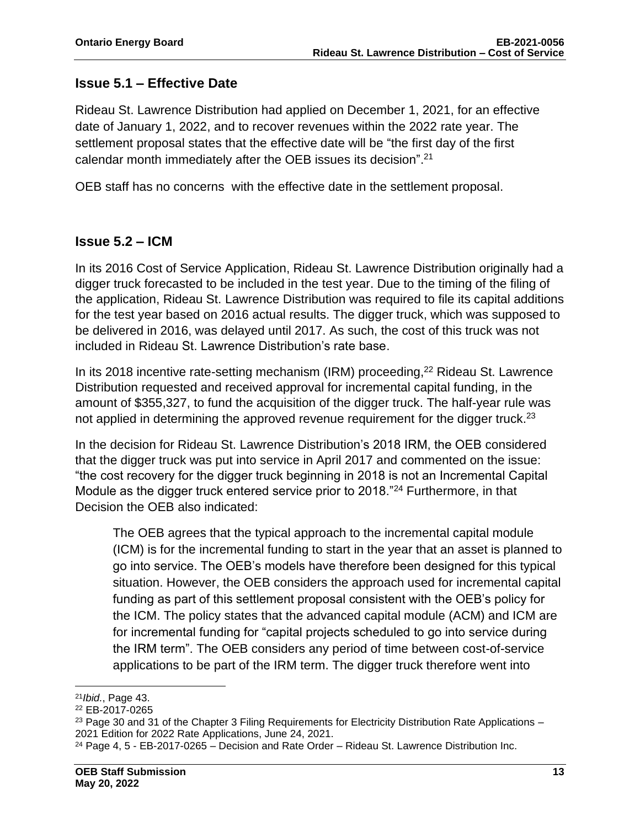## **Issue 5.1 – Effective Date**

Rideau St. Lawrence Distribution had applied on December 1, 2021, for an effective date of January 1, 2022, and to recover revenues within the 2022 rate year. The settlement proposal states that the effective date will be "the first day of the first calendar month immediately after the OEB issues its decision". 21

OEB staff has no concerns with the effective date in the settlement proposal.

## **Issue 5.2 – ICM**

In its 2016 Cost of Service Application, Rideau St. Lawrence Distribution originally had a digger truck forecasted to be included in the test year. Due to the timing of the filing of the application, Rideau St. Lawrence Distribution was required to file its capital additions for the test year based on 2016 actual results. The digger truck, which was supposed to be delivered in 2016, was delayed until 2017. As such, the cost of this truck was not included in Rideau St. Lawrence Distribution's rate base.

In its 2018 incentive rate-setting mechanism (IRM) proceeding, <sup>22</sup> Rideau St. Lawrence Distribution requested and received approval for incremental capital funding, in the amount of \$355,327, to fund the acquisition of the digger truck. The half-year rule was not applied in determining the approved revenue requirement for the digger truck.<sup>23</sup>

In the decision for Rideau St. Lawrence Distribution's 2018 IRM, the OEB considered that the digger truck was put into service in April 2017 and commented on the issue: "the cost recovery for the digger truck beginning in 2018 is not an Incremental Capital Module as the digger truck entered service prior to 2018."<sup>24</sup> Furthermore, in that Decision the OEB also indicated:

The OEB agrees that the typical approach to the incremental capital module (ICM) is for the incremental funding to start in the year that an asset is planned to go into service. The OEB's models have therefore been designed for this typical situation. However, the OEB considers the approach used for incremental capital funding as part of this settlement proposal consistent with the OEB's policy for the ICM. The policy states that the advanced capital module (ACM) and ICM are for incremental funding for "capital projects scheduled to go into service during the IRM term". The OEB considers any period of time between cost-of-service applications to be part of the IRM term. The digger truck therefore went into

<sup>21</sup>*Ibid.*, Page 43.

<sup>22</sup> EB-2017-0265

 $23$  Page 30 and 31 of the Chapter 3 Filing Requirements for Electricity Distribution Rate Applications  $-$ 2021 Edition for 2022 Rate Applications, June 24, 2021.

 $24$  Page 4, 5 - EB-2017-0265 – Decision and Rate Order – Rideau St. Lawrence Distribution Inc.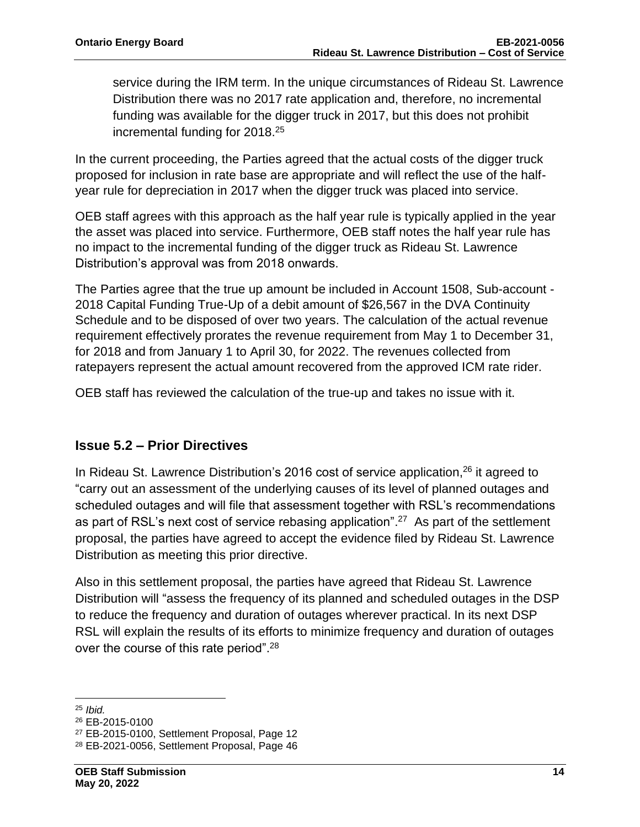service during the IRM term. In the unique circumstances of Rideau St. Lawrence Distribution there was no 2017 rate application and, therefore, no incremental funding was available for the digger truck in 2017, but this does not prohibit incremental funding for 2018.<sup>25</sup>

In the current proceeding, the Parties agreed that the actual costs of the digger truck proposed for inclusion in rate base are appropriate and will reflect the use of the halfyear rule for depreciation in 2017 when the digger truck was placed into service.

OEB staff agrees with this approach as the half year rule is typically applied in the year the asset was placed into service. Furthermore, OEB staff notes the half year rule has no impact to the incremental funding of the digger truck as Rideau St. Lawrence Distribution's approval was from 2018 onwards.

The Parties agree that the true up amount be included in Account 1508, Sub-account - 2018 Capital Funding True-Up of a debit amount of \$26,567 in the DVA Continuity Schedule and to be disposed of over two years. The calculation of the actual revenue requirement effectively prorates the revenue requirement from May 1 to December 31, for 2018 and from January 1 to April 30, for 2022. The revenues collected from ratepayers represent the actual amount recovered from the approved ICM rate rider.

OEB staff has reviewed the calculation of the true-up and takes no issue with it.

## **Issue 5.2 – Prior Directives**

In Rideau St. Lawrence Distribution's 2016 cost of service application,<sup>26</sup> it agreed to "carry out an assessment of the underlying causes of its level of planned outages and scheduled outages and will file that assessment together with RSL's recommendations as part of RSL's next cost of service rebasing application".<sup>27</sup> As part of the settlement proposal, the parties have agreed to accept the evidence filed by Rideau St. Lawrence Distribution as meeting this prior directive.

Also in this settlement proposal, the parties have agreed that Rideau St. Lawrence Distribution will "assess the frequency of its planned and scheduled outages in the DSP to reduce the frequency and duration of outages wherever practical. In its next DSP RSL will explain the results of its efforts to minimize frequency and duration of outages over the course of this rate period".<sup>28</sup>

<sup>25</sup> *Ibid.*

<sup>26</sup> EB-2015-0100

<sup>27</sup> EB-2015-0100, Settlement Proposal, Page 12

<sup>28</sup> EB-2021-0056, Settlement Proposal, Page 46